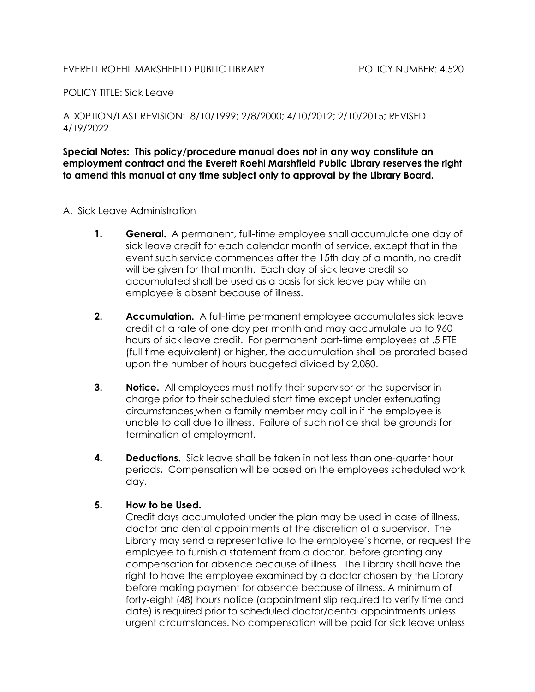## EVERETT ROEHL MARSHFIELD PUBLIC LIBRARY POLICY NUMBER: 4.520

POLICY TITLE: Sick Leave

ADOPTION/LAST REVISION: 8/10/1999; 2/8/2000; 4/10/2012; 2/10/2015; REVISED 4/19/2022

Special Notes: This policy/procedure manual does not in any way constitute an employment contract and the Everett Roehl Marshfield Public Library reserves the right to amend this manual at any time subject only to approval by the Library Board.

- A. Sick Leave Administration
	- 1. General. A permanent, full-time employee shall accumulate one day of sick leave credit for each calendar month of service, except that in the event such service commences after the 15th day of a month, no credit will be given for that month. Each day of sick leave credit so accumulated shall be used as a basis for sick leave pay while an employee is absent because of illness.
	- 2. Accumulation. A full-time permanent employee accumulates sick leave credit at a rate of one day per month and may accumulate up to 960 hours of sick leave credit. For permanent part-time employees at .5 FTE (full time equivalent) or higher, the accumulation shall be prorated based upon the number of hours budgeted divided by 2,080.
	- **3.** Notice. All employees must notify their supervisor or the supervisor in charge prior to their scheduled start time except under extenuating circumstances when a family member may call in if the employee is unable to call due to illness. Failure of such notice shall be grounds for termination of employment.
	- 4. Deductions. Sick leave shall be taken in not less than one-quarter hour periods. Compensation will be based on the employees scheduled work day.

## 5. How to be Used.

 Credit days accumulated under the plan may be used in case of illness, doctor and dental appointments at the discretion of a supervisor. The Library may send a representative to the employee's home, or request the employee to furnish a statement from a doctor, before granting any compensation for absence because of illness. The Library shall have the right to have the employee examined by a doctor chosen by the Library before making payment for absence because of illness. A minimum of forty-eight (48) hours notice (appointment slip required to verify time and date) is required prior to scheduled doctor/dental appointments unless urgent circumstances. No compensation will be paid for sick leave unless